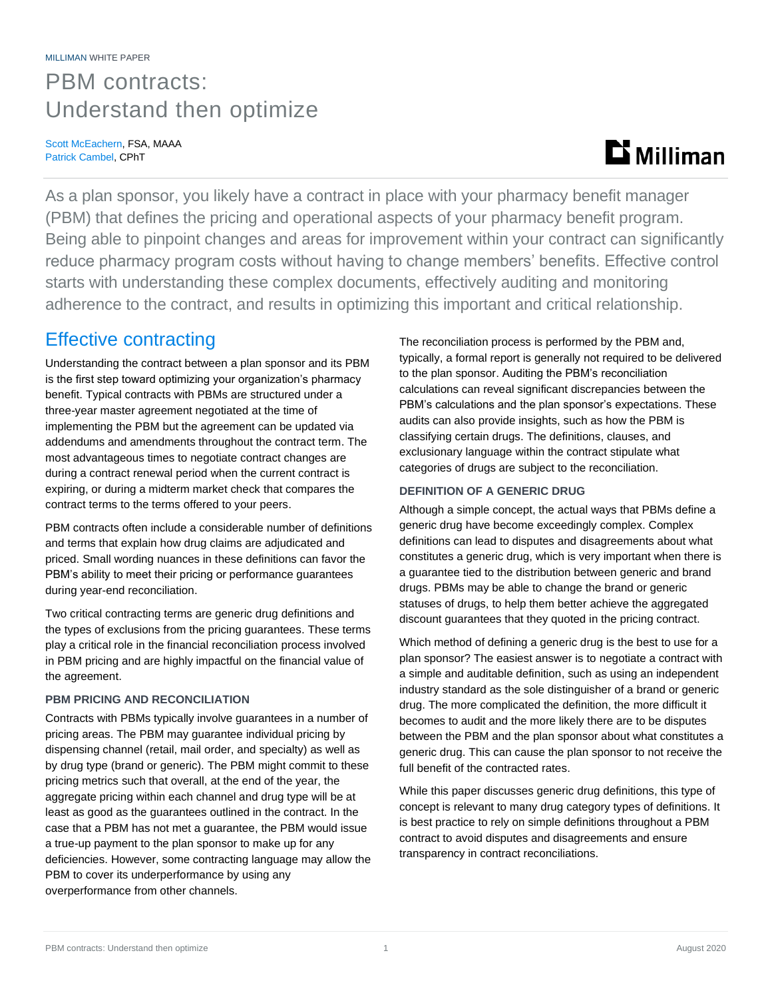## PBM contracts: Understand then optimize

Scott McEachern, FSA, MAAA Patrick Cambel, CPhT

# **Milliman**

As a plan sponsor, you likely have a contract in place with your pharmacy benefit manager (PBM) that defines the pricing and operational aspects of your pharmacy benefit program. Being able to pinpoint changes and areas for improvement within your contract can significantly reduce pharmacy program costs without having to change members' benefits. Effective control starts with understanding these complex documents, effectively auditing and monitoring adherence to the contract, and results in optimizing this important and critical relationship.

## Effective contracting

Understanding the contract between a plan sponsor and its PBM is the first step toward optimizing your organization's pharmacy benefit. Typical contracts with PBMs are structured under a three-year master agreement negotiated at the time of implementing the PBM but the agreement can be updated via addendums and amendments throughout the contract term. The most advantageous times to negotiate contract changes are during a contract renewal period when the current contract is expiring, or during a midterm market check that compares the contract terms to the terms offered to your peers.

PBM contracts often include a considerable number of definitions and terms that explain how drug claims are adjudicated and priced. Small wording nuances in these definitions can favor the PBM's ability to meet their pricing or performance guarantees during year-end reconciliation.

Two critical contracting terms are generic drug definitions and the types of exclusions from the pricing guarantees. These terms play a critical role in the financial reconciliation process involved in PBM pricing and are highly impactful on the financial value of the agreement.

### **PBM PRICING AND RECONCILIATION**

Contracts with PBMs typically involve guarantees in a number of pricing areas. The PBM may guarantee individual pricing by dispensing channel (retail, mail order, and specialty) as well as by drug type (brand or generic). The PBM might commit to these pricing metrics such that overall, at the end of the year, the aggregate pricing within each channel and drug type will be at least as good as the guarantees outlined in the contract. In the case that a PBM has not met a guarantee, the PBM would issue a true-up payment to the plan sponsor to make up for any deficiencies. However, some contracting language may allow the PBM to cover its underperformance by using any overperformance from other channels.

The reconciliation process is performed by the PBM and, typically, a formal report is generally not required to be delivered to the plan sponsor. Auditing the PBM's reconciliation calculations can reveal significant discrepancies between the PBM's calculations and the plan sponsor's expectations. These audits can also provide insights, such as how the PBM is classifying certain drugs. The definitions, clauses, and exclusionary language within the contract stipulate what categories of drugs are subject to the reconciliation.

### **DEFINITION OF A GENERIC DRUG**

Although a simple concept, the actual ways that PBMs define a generic drug have become exceedingly complex. Complex definitions can lead to disputes and disagreements about what constitutes a generic drug, which is very important when there is a guarantee tied to the distribution between generic and brand drugs. PBMs may be able to change the brand or generic statuses of drugs, to help them better achieve the aggregated discount guarantees that they quoted in the pricing contract.

Which method of defining a generic drug is the best to use for a plan sponsor? The easiest answer is to negotiate a contract with a simple and auditable definition, such as using an independent industry standard as the sole distinguisher of a brand or generic drug. The more complicated the definition, the more difficult it becomes to audit and the more likely there are to be disputes between the PBM and the plan sponsor about what constitutes a generic drug. This can cause the plan sponsor to not receive the full benefit of the contracted rates.

While this paper discusses generic drug definitions, this type of concept is relevant to many drug category types of definitions. It is best practice to rely on simple definitions throughout a PBM contract to avoid disputes and disagreements and ensure transparency in contract reconciliations.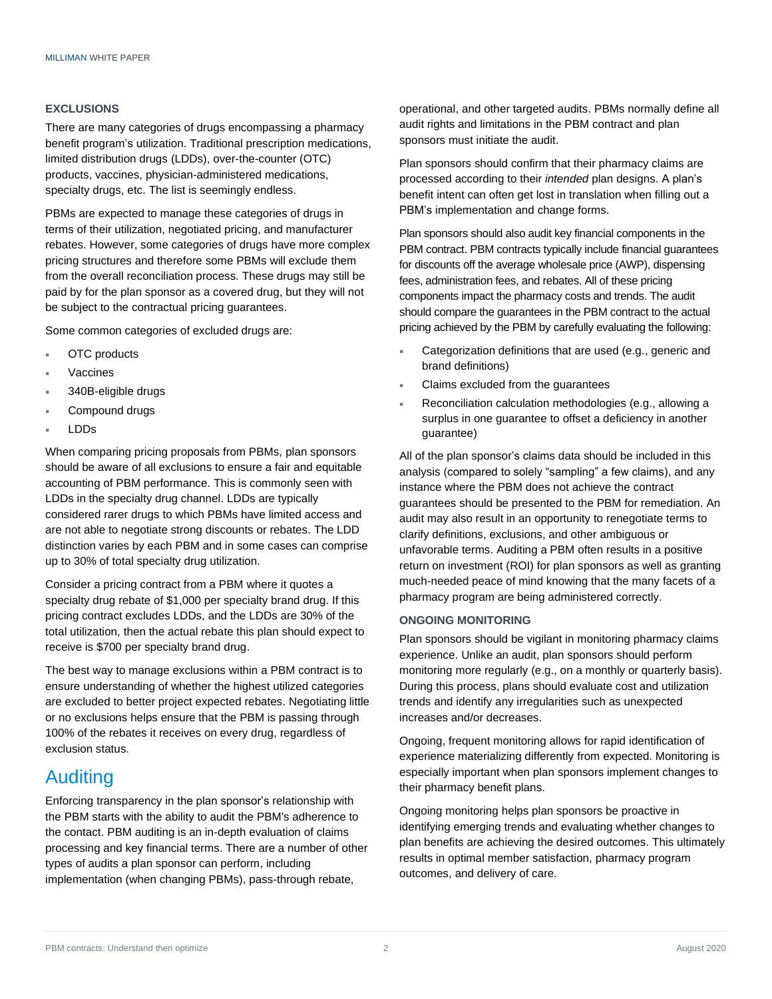#### **EXCLUSIONS**

There are many categories of drugs encompassing a pharmacy benefit program's utilization. Traditional prescription medications, limited distribution drugs (LDDs), over-the-counter (OTC) products, vaccines, physician-administered medications, specialty drugs, etc. The list is seemingly endless.

PBMs are expected to manage these categories of drugs in terms of their utilization, negotiated pricing, and manufacturer rebates. However, some categories of drugs have more complex pricing structures and therefore some PBMs will exclude them from the overall reconciliation process. These drugs may still be paid by for the plan sponsor as a covered drug, but they will not be subject to the contractual pricing guarantees.

Some common categories of excluded drugs are:

- OTC products
- Vaccines
- 340B-eligible drugs
- Compound drugs
- LDDs

When comparing pricing proposals from PBMs, plan sponsors should be aware of all exclusions to ensure a fair and equitable accounting of PBM performance. This is commonly seen with LDDs in the specialty drug channel. LDDs are typically considered rarer drugs to which PBMs have limited access and are not able to negotiate strong discounts or rebates. The LDD distinction varies by each PBM and in some cases can comprise up to 30% of total specialty drug utilization.

Consider a pricing contract from a PBM where it quotes a specialty drug rebate of \$1,000 per specialty brand drug. If this pricing contract excludes LDDs, and the LDDs are 30% of the total utilization, then the actual rebate this plan should expect to receive is \$700 per specialty brand drug.

The best way to manage exclusions within a PBM contract is to ensure understanding of whether the highest utilized categories are excluded to better project expected rebates. Negotiating little or no exclusions helps ensure that the PBM is passing through 100% of the rebates it receives on every drug, regardless of exclusion status.

## Auditing

Enforcing transparency in the plan sponsor's relationship with the PBM starts with the ability to audit the PBM's adherence to the contact. PBM auditing is an in-depth evaluation of claims processing and key financial terms. There are a number of other types of audits a plan sponsor can perform, including implementation (when changing PBMs), pass-through rebate,

operational, and other targeted audits. PBMs normally define all audit rights and limitations in the PBM contract and plan sponsors must initiate the audit.

Plan sponsors should confirm that their pharmacy claims are processed according to their *intended* plan designs. A plan's benefit intent can often get lost in translation when filling out a PBM's implementation and change forms.

Plan sponsors should also audit key financial components in the PBM contract. PBM contracts typically include financial guarantees for discounts off the average wholesale price (AWP), dispensing fees, administration fees, and rebates. All of these pricing components impact the pharmacy costs and trends. The audit should compare the guarantees in the PBM contract to the actual pricing achieved by the PBM by carefully evaluating the following:

- Categorization definitions that are used (e.g., generic and brand definitions)
- Claims excluded from the guarantees
- Reconciliation calculation methodologies (e.g., allowing a surplus in one guarantee to offset a deficiency in another guarantee)

All of the plan sponsor's claims data should be included in this analysis (compared to solely "sampling" a few claims), and any instance where the PBM does not achieve the contract guarantees should be presented to the PBM for remediation. An audit may also result in an opportunity to renegotiate terms to clarify definitions, exclusions, and other ambiguous or unfavorable terms. Auditing a PBM often results in a positive return on investment (ROI) for plan sponsors as well as granting much-needed peace of mind knowing that the many facets of a pharmacy program are being administered correctly.

#### **ONGOING MONITORING**

Plan sponsors should be vigilant in monitoring pharmacy claims experience. Unlike an audit, plan sponsors should perform monitoring more regularly (e.g., on a monthly or quarterly basis). During this process, plans should evaluate cost and utilization trends and identify any irregularities such as unexpected increases and/or decreases.

Ongoing, frequent monitoring allows for rapid identification of experience materializing differently from expected. Monitoring is especially important when plan sponsors implement changes to their pharmacy benefit plans.

Ongoing monitoring helps plan sponsors be proactive in identifying emerging trends and evaluating whether changes to plan benefits are achieving the desired outcomes. This ultimately results in optimal member satisfaction, pharmacy program outcomes, and delivery of care.